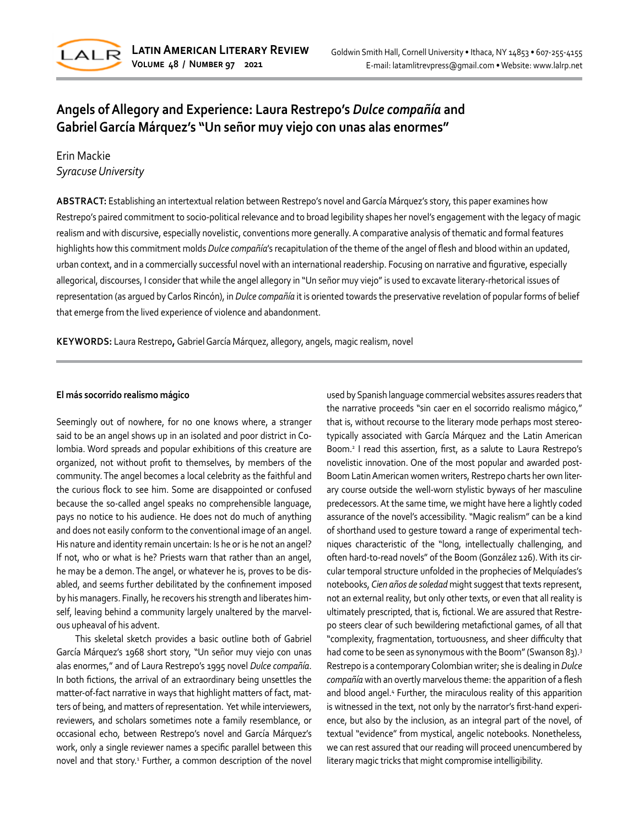

# **Angels of Allegory and Experience: Laura Restrepo's** *Dulce compañía* **and Gabriel García Márquez's "Un señor muy viejo con unas alas enormes"**

# Erin Mackie *Syracuse University*

**ABSTRACT:** Establishing an intertextual relation between Restrepo's novel and García Márquez's story, this paper examines how Restrepo's paired commitment to socio-political relevance and to broad legibility shapes her novel's engagement with the legacy of magic realism and with discursive, especially novelistic, conventions more generally. A comparative analysis of thematic and formal features highlights how this commitment molds *Dulce compañía*'s recapitulation of the theme of the angel of flesh and blood within an updated, urban context, and in a commercially successful novel with an international readership. Focusing on narrative and figurative, especially allegorical, discourses, I consider that while the angel allegory in "Un señor muy viejo" is used to excavate literary-rhetorical issues of representation (as argued by Carlos Rincón), in *Dulce compañía* it is oriented towards the preservative revelation of popular forms of belief that emerge from the lived experience of violence and abandonment.

**KEYWORDS:** Laura Restrepo**,** Gabriel García Márquez, allegory, angels, magic realism, novel

### **El más socorrido realismo mágico**

Seemingly out of nowhere, for no one knows where, a stranger said to be an angel shows up in an isolated and poor district in Colombia. Word spreads and popular exhibitions of this creature are organized, not without profit to themselves, by members of the community. The angel becomes a local celebrity as the faithful and the curious flock to see him. Some are disappointed or confused because the so-called angel speaks no comprehensible language, pays no notice to his audience. He does not do much of anything and does not easily conform to the conventional image of an angel. His nature and identity remain uncertain: Is he or is he not an angel? If not, who or what is he? Priests warn that rather than an angel, he may be a demon. The angel, or whatever he is, proves to be disabled, and seems further debilitated by the confinement imposed by his managers. Finally, he recovers his strength and liberates himself, leaving behind a community largely unaltered by the marvelous upheaval of his advent.

This skeletal sketch provides a basic outline both of Gabriel García Márquez's 1968 short story, "Un señor muy viejo con unas alas enormes," and of Laura Restrepo's 1995 novel *Dulce compañía*. In both fictions, the arrival of an extraordinary being unsettles the matter-of-fact narrative in ways that highlight matters of fact, matters of being, and matters of representation. Yet while interviewers, reviewers, and scholars sometimes note a family resemblance, or occasional echo, between Restrepo's novel and García Márquez's work, only a single reviewer names a specific parallel between this novel and that story.<sup>1</sup> Further, a common description of the novel used by Spanish language commercial websites assures readers that the narrative proceeds "sin caer en el socorrido realismo mágico," that is, without recourse to the literary mode perhaps most stereotypically associated with García Márquez and the Latin American Boom.2 I read this assertion, first, as a salute to Laura Restrepo's novelistic innovation. One of the most popular and awarded post-Boom Latin American women writers, Restrepo charts her own literary course outside the well-worn stylistic byways of her masculine predecessors. At the same time, we might have here a lightly coded assurance of the novel's accessibility. "Magic realism" can be a kind of shorthand used to gesture toward a range of experimental techniques characteristic of the "long, intellectually challenging, and often hard-to-read novels" of the Boom (González 126). With its circular temporal structure unfolded in the prophecies of Melquíades's notebooks, *Cien años de soledad* might suggest that texts represent, not an external reality, but only other texts, or even that all reality is ultimately prescripted, that is, fictional. We are assured that Restrepo steers clear of such bewildering metafictional games, of all that "complexity, fragmentation, tortuousness, and sheer difficulty that had come to be seen as synonymous with the Boom" (Swanson 83).<sup>3</sup> Restrepo is a contemporary Colombian writer; she is dealing in *Dulce compañía* with an overtly marvelous theme: the apparition of a flesh and blood angel.<sup>4</sup> Further, the miraculous reality of this apparition is witnessed in the text, not only by the narrator's first-hand experience, but also by the inclusion, as an integral part of the novel, of textual "evidence" from mystical, angelic notebooks. Nonetheless, we can rest assured that our reading will proceed unencumbered by literary magic tricks that might compromise intelligibility.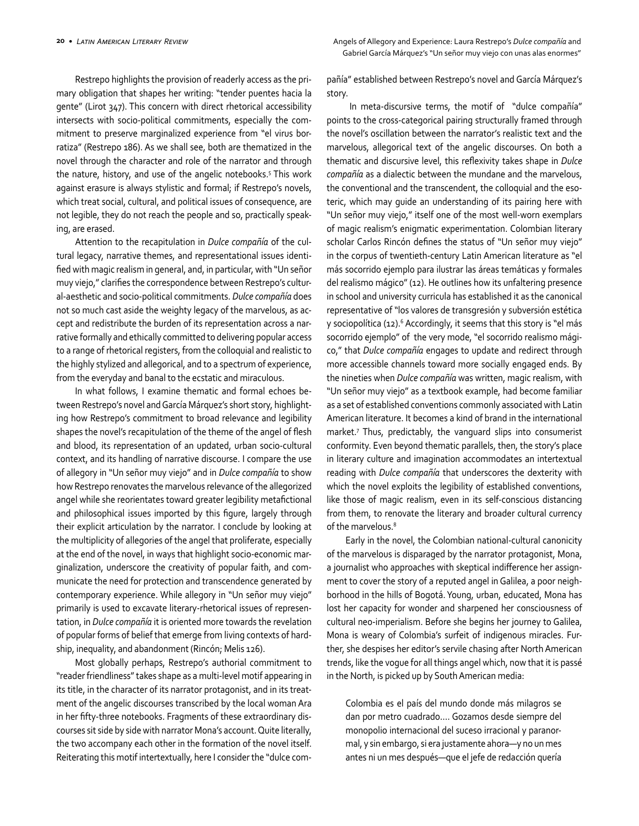Restrepo highlights the provision of readerly access as the primary obligation that shapes her writing: "tender puentes hacia la gente" (Lirot 347). This concern with direct rhetorical accessibility intersects with socio-political commitments, especially the commitment to preserve marginalized experience from "el virus borratiza" (Restrepo 186). As we shall see, both are thematized in the novel through the character and role of the narrator and through the nature, history, and use of the angelic notebooks.5 This work against erasure is always stylistic and formal; if Restrepo's novels, which treat social, cultural, and political issues of consequence, are not legible, they do not reach the people and so, practically speaking, are erased.

Attention to the recapitulation in *Dulce compañía* of the cultural legacy, narrative themes, and representational issues identified with magic realism in general, and, in particular, with "Un señor muy viejo," clarifies the correspondence between Restrepo's cultural-aesthetic and socio-political commitments. *Dulce compañía* does not so much cast aside the weighty legacy of the marvelous, as accept and redistribute the burden of its representation across a narrative formally and ethically committed to delivering popular access to a range of rhetorical registers, from the colloquial and realistic to the highly stylized and allegorical, and to a spectrum of experience, from the everyday and banal to the ecstatic and miraculous.

In what follows, I examine thematic and formal echoes between Restrepo's novel and García Márquez's short story, highlighting how Restrepo's commitment to broad relevance and legibility shapes the novel's recapitulation of the theme of the angel of flesh and blood, its representation of an updated, urban socio-cultural context, and its handling of narrative discourse. I compare the use of allegory in "Un señor muy viejo" and in *Dulce compañía* to show how Restrepo renovates the marvelous relevance of the allegorized angel while she reorientates toward greater legibility metafictional and philosophical issues imported by this figure, largely through their explicit articulation by the narrator. I conclude by looking at the multiplicity of allegories of the angel that proliferate, especially at the end of the novel, in ways that highlight socio-economic marginalization, underscore the creativity of popular faith, and communicate the need for protection and transcendence generated by contemporary experience. While allegory in "Un señor muy viejo" primarily is used to excavate literary-rhetorical issues of representation, in *Dulce compañía* it is oriented more towards the revelation of popular forms of belief that emerge from living contexts of hardship, inequality, and abandonment (Rincón; Melis 126).

Most globally perhaps, Restrepo's authorial commitment to "reader friendliness" takes shape as a multi-level motif appearing in its title, in the character of its narrator protagonist, and in its treatment of the angelic discourses transcribed by the local woman Ara in her fifty-three notebooks. Fragments of these extraordinary discourses sit side by side with narrator Mona's account. Quite literally, the two accompany each other in the formation of the novel itself. Reiterating this motif intertextually, here I consider the "dulce compañía" established between Restrepo's novel and García Márquez's story.

 In meta-discursive terms, the motif of "dulce compañía" points to the cross-categorical pairing structurally framed through the novel's oscillation between the narrator's realistic text and the marvelous, allegorical text of the angelic discourses. On both a thematic and discursive level, this reflexivity takes shape in *Dulce compañía* as a dialectic between the mundane and the marvelous, the conventional and the transcendent, the colloquial and the esoteric, which may guide an understanding of its pairing here with "Un señor muy viejo," itself one of the most well-worn exemplars of magic realism's enigmatic experimentation. Colombian literary scholar Carlos Rincón defines the status of "Un señor muy viejo" in the corpus of twentieth-century Latin American literature as "el más socorrido ejemplo para ilustrar las áreas temáticas y formales del realismo mágico" (12). He outlines how its unfaltering presence in school and university curricula has established it as the canonical representative of "los valores de transgresión y subversión estética y sociopolítica (12).<sup>6</sup> Accordingly, it seems that this story is "el más socorrido ejemplo" of the very mode, "el socorrido realismo mágico," that *Dulce compañía* engages to update and redirect through more accessible channels toward more socially engaged ends. By the nineties when *Dulce compañía* was written, magic realism, with "Un señor muy viejo" as a textbook example, had become familiar as a set of established conventions commonly associated with Latin American literature. It becomes a kind of brand in the international market.7 Thus, predictably, the vanguard slips into consumerist conformity. Even beyond thematic parallels, then, the story's place in literary culture and imagination accommodates an intertextual reading with *Dulce compañía* that underscores the dexterity with which the novel exploits the legibility of established conventions, like those of magic realism, even in its self-conscious distancing from them, to renovate the literary and broader cultural currency of the marvelous.<sup>8</sup>

Early in the novel, the Colombian national-cultural canonicity of the marvelous is disparaged by the narrator protagonist, Mona, a journalist who approaches with skeptical indifference her assignment to cover the story of a reputed angel in Galilea, a poor neighborhood in the hills of Bogotá. Young, urban, educated, Mona has lost her capacity for wonder and sharpened her consciousness of cultural neo-imperialism. Before she begins her journey to Galilea, Mona is weary of Colombia's surfeit of indigenous miracles. Further, she despises her editor's servile chasing after North American trends, like the vogue for all things angel which, now that it is passé in the North, is picked up by South American media:

Colombia es el país del mundo donde más milagros se dan por metro cuadrado…. Gozamos desde siempre del monopolio internacional del suceso irracional y paranormal, y sin embargo, si era justamente ahora—y no un mes antes ni un mes después—que el jefe de redacción quería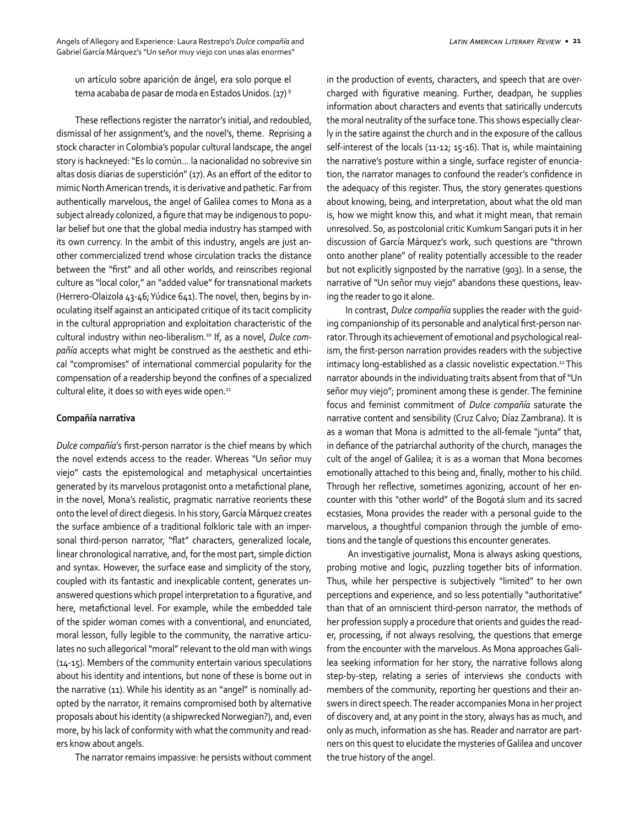un artículo sobre aparición de ángel, era solo porque el tema acababa de pasar de moda en Estados Unidos. (17) 9

These reflections register the narrator's initial, and redoubled, dismissal of her assignment's, and the novel's, theme. Reprising a stock character in Colombia's popular cultural landscape, the angel story is hackneyed: "Es lo común… la nacionalidad no sobrevive sin altas dosis diarias de superstición" (17). As an effort of the editor to mimic North American trends, it is derivative and pathetic. Far from authentically marvelous, the angel of Galilea comes to Mona as a subject already colonized, a figure that may be indigenous to popular belief but one that the global media industry has stamped with its own currency. In the ambit of this industry, angels are just another commercialized trend whose circulation tracks the distance between the "first" and all other worlds, and reinscribes regional culture as "local color," an "added value" for transnational markets (Herrero-Olaizola 43-46; Yúdice 641). The novel, then, begins by inoculating itself against an anticipated critique of its tacit complicity in the cultural appropriation and exploitation characteristic of the cultural industry within neo-liberalism.10 If, as a novel, *Dulce compañía* accepts what might be construed as the aesthetic and ethical "compromises" of international commercial popularity for the compensation of a readership beyond the confines of a specialized cultural elite, it does so with eyes wide open. $11$ 

#### **Compañía narrativa**

*Dulce compañía*'s first-person narrator is the chief means by which the novel extends access to the reader. Whereas "Un señor muy viejo" casts the epistemological and metaphysical uncertainties generated by its marvelous protagonist onto a metafictional plane, in the novel, Mona's realistic, pragmatic narrative reorients these onto the level of direct diegesis. In his story, García Márquez creates the surface ambience of a traditional folkloric tale with an impersonal third-person narrator, "flat" characters, generalized locale, linear chronological narrative, and, for the most part, simple diction and syntax. However, the surface ease and simplicity of the story, coupled with its fantastic and inexplicable content, generates unanswered questions which propel interpretation to a figurative, and here, metafictional level. For example, while the embedded tale of the spider woman comes with a conventional, and enunciated, moral lesson, fully legible to the community, the narrative articulates no such allegorical "moral" relevant to the old man with wings (14-15). Members of the community entertain various speculations about his identity and intentions, but none of these is borne out in the narrative (11). While his identity as an "angel" is nominally adopted by the narrator, it remains compromised both by alternative proposals about his identity (a shipwrecked Norwegian?), and, even more, by his lack of conformity with what the community and readers know about angels.

The narrator remains impassive: he persists without comment

in the production of events, characters, and speech that are overcharged with figurative meaning. Further, deadpan, he supplies information about characters and events that satirically undercuts the moral neutrality of the surface tone. This shows especially clearly in the satire against the church and in the exposure of the callous self-interest of the locals (11-12; 15-16). That is, while maintaining the narrative's posture within a single, surface register of enunciation, the narrator manages to confound the reader's confidence in the adequacy of this register. Thus, the story generates questions about knowing, being, and interpretation, about what the old man is, how we might know this, and what it might mean, that remain unresolved. So, as postcolonial critic Kumkum Sangari puts it in her discussion of García Márquez's work, such questions are "thrown onto another plane" of reality potentially accessible to the reader but not explicitly signposted by the narrative (903). In a sense, the narrative of "Un señor muy viejo" abandons these questions, leaving the reader to go it alone.

In contrast, *Dulce compañía* supplies the reader with the guiding companionship of its personable and analytical first-person narrator. Through its achievement of emotional and psychological realism, the first-person narration provides readers with the subjective intimacy long-established as a classic novelistic expectation.<sup>12</sup> This narrator abounds in the individuating traits absent from that of "Un señor muy viejo"; prominent among these is gender. The feminine focus and feminist commitment of *Dulce compañía* saturate the narrative content and sensibility (Cruz Calvo; Díaz Zambrana). It is as a woman that Mona is admitted to the all-female "junta" that, in defiance of the patriarchal authority of the church, manages the cult of the angel of Galilea; it is as a woman that Mona becomes emotionally attached to this being and, finally, mother to his child. Through her reflective, sometimes agonizing, account of her encounter with this "other world" of the Bogotá slum and its sacred ecstasies, Mona provides the reader with a personal guide to the marvelous, a thoughtful companion through the jumble of emotions and the tangle of questions this encounter generates.

 An investigative journalist, Mona is always asking questions, probing motive and logic, puzzling together bits of information. Thus, while her perspective is subjectively "limited" to her own perceptions and experience, and so less potentially "authoritative" than that of an omniscient third-person narrator, the methods of her profession supply a procedure that orients and guides the reader, processing, if not always resolving, the questions that emerge from the encounter with the marvelous. As Mona approaches Galilea seeking information for her story, the narrative follows along step-by-step, relating a series of interviews she conducts with members of the community, reporting her questions and their answers in direct speech. The reader accompanies Mona in her project of discovery and, at any point in the story, always has as much, and only as much, information as she has. Reader and narrator are partners on this quest to elucidate the mysteries of Galilea and uncover the true history of the angel.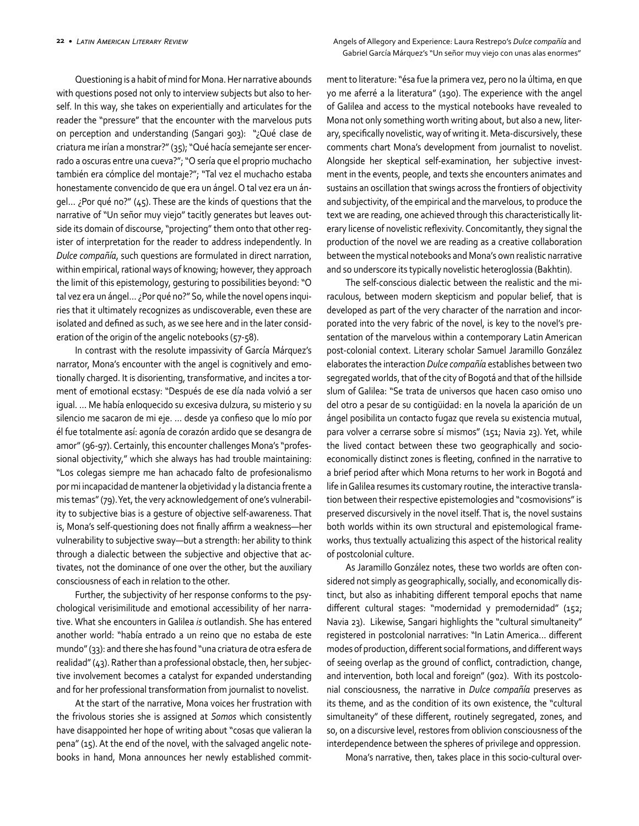Questioning is a habit of mind for Mona. Her narrative abounds with questions posed not only to interview subjects but also to herself. In this way, she takes on experientially and articulates for the reader the "pressure" that the encounter with the marvelous puts on perception and understanding (Sangari 903): "¿Qué clase de criatura me irían a monstrar?" (35); "Qué hacía semejante ser encerrado a oscuras entre una cueva?"; "O sería que el proprio muchacho también era cómplice del montaje?"; "Tal vez el muchacho estaba honestamente convencido de que era un ángel. O tal vez era un ángel… ¿Por qué no?" (45). These are the kinds of questions that the narrative of "Un señor muy viejo" tacitly generates but leaves outside its domain of discourse, "projecting" them onto that other register of interpretation for the reader to address independently. In *Dulce compañía*, such questions are formulated in direct narration, within empirical, rational ways of knowing; however, they approach the limit of this epistemology, gesturing to possibilities beyond: "O tal vez era un ángel… ¿Por qué no?" So, while the novel opens inquiries that it ultimately recognizes as undiscoverable, even these are isolated and defined as such, as we see here and in the later consideration of the origin of the angelic notebooks (57-58).

In contrast with the resolute impassivity of García Márquez's narrator, Mona's encounter with the angel is cognitively and emotionally charged. It is disorienting, transformative, and incites a torment of emotional ecstasy: "Después de ese día nada volvió a ser igual. … Me había enloquecido su excesiva dulzura, su misterio y su silencio me sacaron de mi eje. … desde ya confieso que lo mío por él fue totalmente así: agonía de corazón ardido que se desangra de amor" (96-97). Certainly, this encounter challenges Mona's "professional objectivity," which she always has had trouble maintaining: "Los colegas siempre me han achacado falto de profesionalismo por mi incapacidad de mantener la objetividad y la distancia frente a mis temas" (79). Yet, the very acknowledgement of one's vulnerability to subjective bias is a gesture of objective self-awareness. That is, Mona's self-questioning does not finally affirm a weakness—her vulnerability to subjective sway—but a strength: her ability to think through a dialectic between the subjective and objective that activates, not the dominance of one over the other, but the auxiliary consciousness of each in relation to the other.

Further, the subjectivity of her response conforms to the psychological verisimilitude and emotional accessibility of her narrative. What she encounters in Galilea *is* outlandish. She has entered another world: "había entrado a un reino que no estaba de este mundo" (33): and there she has found "una criatura de otra esfera de realidad" (43). Rather than a professional obstacle, then, her subjective involvement becomes a catalyst for expanded understanding and for her professional transformation from journalist to novelist.

At the start of the narrative, Mona voices her frustration with the frivolous stories she is assigned at *Somos* which consistently have disappointed her hope of writing about "cosas que valieran la pena" (15). At the end of the novel, with the salvaged angelic notebooks in hand, Mona announces her newly established commitment to literature: "ésa fue la primera vez, pero no la última, en que yo me aferré a la literatura" (190). The experience with the angel of Galilea and access to the mystical notebooks have revealed to Mona not only something worth writing about, but also a new, literary, specifically novelistic, way of writing it. Meta-discursively, these comments chart Mona's development from journalist to novelist. Alongside her skeptical self-examination, her subjective investment in the events, people, and texts she encounters animates and sustains an oscillation that swings across the frontiers of objectivity and subjectivity, of the empirical and the marvelous, to produce the text we are reading, one achieved through this characteristically literary license of novelistic reflexivity. Concomitantly, they signal the production of the novel we are reading as a creative collaboration between the mystical notebooks and Mona's own realistic narrative and so underscore its typically novelistic heteroglossia (Bakhtin).

The self-conscious dialectic between the realistic and the miraculous, between modern skepticism and popular belief, that is developed as part of the very character of the narration and incorporated into the very fabric of the novel, is key to the novel's presentation of the marvelous within a contemporary Latin American post-colonial context. Literary scholar Samuel Jaramillo González elaborates the interaction *Dulce compañía* establishes between two segregated worlds, that of the city of Bogotá and that of the hillside slum of Galilea: "Se trata de universos que hacen caso omiso uno del otro a pesar de su contigüidad: en la novela la aparición de un ángel posibilita un contacto fugaz que revela su existencia mutual, para volver a cerrarse sobre sí mismos" (151; Navia 23). Yet, while the lived contact between these two geographically and socioeconomically distinct zones is fleeting, confined in the narrative to a brief period after which Mona returns to her work in Bogotá and life in Galilea resumes its customary routine, the interactive translation between their respective epistemologies and "cosmovisions" is preserved discursively in the novel itself. That is, the novel sustains both worlds within its own structural and epistemological frameworks, thus textually actualizing this aspect of the historical reality of postcolonial culture.

As Jaramillo González notes, these two worlds are often considered not simply as geographically, socially, and economically distinct, but also as inhabiting different temporal epochs that name different cultural stages: "modernidad y premodernidad" (152; Navia 23). Likewise, Sangari highlights the "cultural simultaneity" registered in postcolonial narratives: "In Latin America… different modes of production, different social formations, and different ways of seeing overlap as the ground of conflict, contradiction, change, and intervention, both local and foreign" (902). With its postcolonial consciousness, the narrative in *Dulce compañía* preserves as its theme, and as the condition of its own existence, the "cultural simultaneity" of these different, routinely segregated, zones, and so, on a discursive level, restores from oblivion consciousness of the interdependence between the spheres of privilege and oppression.

Mona's narrative, then, takes place in this socio-cultural over-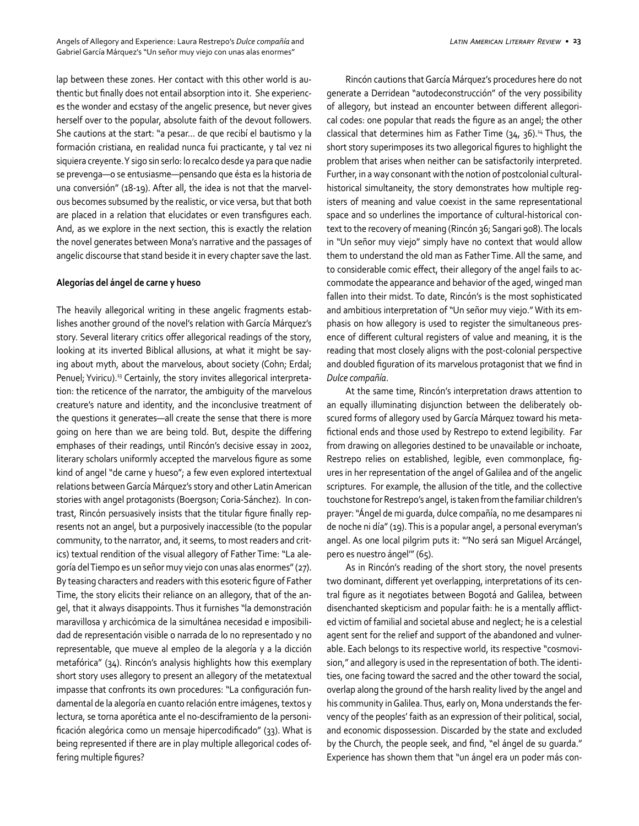lap between these zones. Her contact with this other world is authentic but finally does not entail absorption into it. She experiences the wonder and ecstasy of the angelic presence, but never gives herself over to the popular, absolute faith of the devout followers. She cautions at the start: "a pesar… de que recibí el bautismo y la formación cristiana, en realidad nunca fui practicante, y tal vez ni siquiera creyente. Y sigo sin serlo: lo recalco desde ya para que nadie se prevenga—o se entusiasme—pensando que ésta es la historia de una conversión" (18-19). After all, the idea is not that the marvelous becomes subsumed by the realistic, or vice versa, but that both are placed in a relation that elucidates or even transfigures each. And, as we explore in the next section, this is exactly the relation the novel generates between Mona's narrative and the passages of angelic discourse that stand beside it in every chapter save the last.

#### **Alegorías del ángel de carne y hueso**

The heavily allegorical writing in these angelic fragments establishes another ground of the novel's relation with García Márquez's story. Several literary critics offer allegorical readings of the story, looking at its inverted Biblical allusions, at what it might be saying about myth, about the marvelous, about society (Cohn; Erdal; Penuel; Yviricu).<sup>13</sup> Certainly, the story invites allegorical interpretation: the reticence of the narrator, the ambiguity of the marvelous creature's nature and identity, and the inconclusive treatment of the questions it generates—all create the sense that there is more going on here than we are being told. But, despite the differing emphases of their readings, until Rincón's decisive essay in 2002, literary scholars uniformly accepted the marvelous figure as some kind of angel "de carne y hueso"; a few even explored intertextual relations between García Márquez's story and other Latin American stories with angel protagonists (Boergson; Coria-Sánchez). In contrast, Rincón persuasively insists that the titular figure finally represents not an angel, but a purposively inaccessible (to the popular community, to the narrator, and, it seems, to most readers and critics) textual rendition of the visual allegory of Father Time: "La alegoría del Tiempo es un señor muy viejo con unas alas enormes" (27). By teasing characters and readers with this esoteric figure of Father Time, the story elicits their reliance on an allegory, that of the angel, that it always disappoints. Thus it furnishes "la demonstración maravillosa y archicómica de la simultánea necesidad e imposibilidad de representación visible o narrada de lo no representado y no representable, que mueve al empleo de la alegoría y a la dicción metafórica" (34). Rincón's analysis highlights how this exemplary short story uses allegory to present an allegory of the metatextual impasse that confronts its own procedures: "La configuración fundamental de la alegoría en cuanto relación entre imágenes, textos y lectura, se torna aporética ante el no-desciframiento de la personificación alegórica como un mensaje hipercodificado" (33). What is being represented if there are in play multiple allegorical codes offering multiple figures?

Rincón cautions that García Márquez's procedures here do not generate a Derridean "autodeconstrucción" of the very possibility of allegory, but instead an encounter between different allegorical codes: one popular that reads the figure as an angel; the other classical that determines him as Father Time  $(34, 36)$ .<sup>14</sup> Thus, the short story superimposes its two allegorical figures to highlight the problem that arises when neither can be satisfactorily interpreted. Further, in a way consonant with the notion of postcolonial culturalhistorical simultaneity, the story demonstrates how multiple registers of meaning and value coexist in the same representational space and so underlines the importance of cultural-historical context to the recovery of meaning (Rincón 36; Sangari 908). The locals in "Un señor muy viejo" simply have no context that would allow them to understand the old man as Father Time. All the same, and to considerable comic effect, their allegory of the angel fails to accommodate the appearance and behavior of the aged, winged man fallen into their midst. To date, Rincón's is the most sophisticated and ambitious interpretation of "Un señor muy viejo." With its emphasis on how allegory is used to register the simultaneous presence of different cultural registers of value and meaning, it is the reading that most closely aligns with the post-colonial perspective and doubled figuration of its marvelous protagonist that we find in *Dulce compañía*.

At the same time, Rincón's interpretation draws attention to an equally illuminating disjunction between the deliberately obscured forms of allegory used by García Márquez toward his metafictional ends and those used by Restrepo to extend legibility. Far from drawing on allegories destined to be unavailable or inchoate, Restrepo relies on established, legible, even commonplace, figures in her representation of the angel of Galilea and of the angelic scriptures. For example, the allusion of the title, and the collective touchstone for Restrepo's angel, is taken from the familiar children's prayer: "Ángel de mi guarda, dulce compañía, no me desampares ni de noche ni día" (19). This is a popular angel, a personal everyman's angel. As one local pilgrim puts it: "'No será san Miguel Arcángel, pero es nuestro ángel'" (65).

As in Rincón's reading of the short story, the novel presents two dominant, different yet overlapping, interpretations of its central figure as it negotiates between Bogotá and Galilea, between disenchanted skepticism and popular faith: he is a mentally afflicted victim of familial and societal abuse and neglect; he is a celestial agent sent for the relief and support of the abandoned and vulnerable. Each belongs to its respective world, its respective "cosmovision," and allegory is used in the representation of both. The identities, one facing toward the sacred and the other toward the social, overlap along the ground of the harsh reality lived by the angel and his community in Galilea. Thus, early on, Mona understands the fervency of the peoples' faith as an expression of their political, social, and economic dispossession. Discarded by the state and excluded by the Church, the people seek, and find, "el ángel de su guarda." Experience has shown them that "un ángel era un poder más con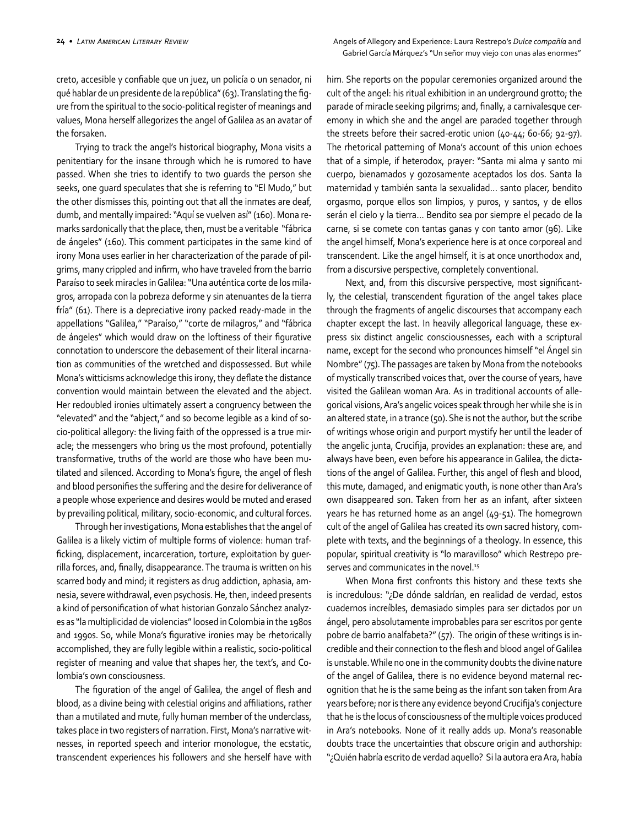creto, accesible y confiable que un juez, un policía o un senador, ni qué hablar de un presidente de la república" (63). Translating the figure from the spiritual to the socio-political register of meanings and values, Mona herself allegorizes the angel of Galilea as an avatar of the forsaken.

Trying to track the angel's historical biography, Mona visits a penitentiary for the insane through which he is rumored to have passed. When she tries to identify to two guards the person she seeks, one guard speculates that she is referring to "El Mudo," but the other dismisses this, pointing out that all the inmates are deaf, dumb, and mentally impaired: "Aquí se vuelven así" (160). Mona remarks sardonically that the place, then, must be a veritable "fábrica de ángeles" (160). This comment participates in the same kind of irony Mona uses earlier in her characterization of the parade of pilgrims, many crippled and infirm, who have traveled from the barrio Paraíso to seek miracles in Galilea: "Una auténtica corte de los milagros, arropada con la pobreza deforme y sin atenuantes de la tierra fría" (61). There is a depreciative irony packed ready-made in the appellations "Galilea," "Paraíso," "corte de milagros," and "fábrica de ángeles" which would draw on the loftiness of their figurative connotation to underscore the debasement of their literal incarnation as communities of the wretched and dispossessed. But while Mona's witticisms acknowledge this irony, they deflate the distance convention would maintain between the elevated and the abject. Her redoubled ironies ultimately assert a congruency between the "elevated" and the "abject," and so become legible as a kind of socio-political allegory: the living faith of the oppressed is a true miracle; the messengers who bring us the most profound, potentially transformative, truths of the world are those who have been mutilated and silenced. According to Mona's figure, the angel of flesh and blood personifies the suffering and the desire for deliverance of a people whose experience and desires would be muted and erased by prevailing political, military, socio-economic, and cultural forces.

Through her investigations, Mona establishes that the angel of Galilea is a likely victim of multiple forms of violence: human trafficking, displacement, incarceration, torture, exploitation by guerrilla forces, and, finally, disappearance. The trauma is written on his scarred body and mind; it registers as drug addiction, aphasia, amnesia, severe withdrawal, even psychosis. He, then, indeed presents a kind of personification of what historian Gonzalo Sánchez analyzes as "la multiplicidad de violencias" loosed in Colombia in the 1980s and 1990s. So, while Mona's figurative ironies may be rhetorically accomplished, they are fully legible within a realistic, socio-political register of meaning and value that shapes her, the text's, and Colombia's own consciousness.

The figuration of the angel of Galilea, the angel of flesh and blood, as a divine being with celestial origins and affiliations, rather than a mutilated and mute, fully human member of the underclass, takes place in two registers of narration. First, Mona's narrative witnesses, in reported speech and interior monologue, the ecstatic, transcendent experiences his followers and she herself have with

him. She reports on the popular ceremonies organized around the cult of the angel: his ritual exhibition in an underground grotto; the parade of miracle seeking pilgrims; and, finally, a carnivalesque ceremony in which she and the angel are paraded together through the streets before their sacred-erotic union (40-44; 60-66; 92-97). The rhetorical patterning of Mona's account of this union echoes that of a simple, if heterodox, prayer: "Santa mi alma y santo mi cuerpo, bienamados y gozosamente aceptados los dos. Santa la maternidad y también santa la sexualidad… santo placer, bendito orgasmo, porque ellos son limpios, y puros, y santos, y de ellos serán el cielo y la tierra… Bendito sea por siempre el pecado de la carne, si se comete con tantas ganas y con tanto amor (96). Like the angel himself, Mona's experience here is at once corporeal and transcendent. Like the angel himself, it is at once unorthodox and, from a discursive perspective, completely conventional.

Next, and, from this discursive perspective, most significantly, the celestial, transcendent figuration of the angel takes place through the fragments of angelic discourses that accompany each chapter except the last. In heavily allegorical language, these express six distinct angelic consciousnesses, each with a scriptural name, except for the second who pronounces himself "el Ángel sin Nombre" (75). The passages are taken by Mona from the notebooks of mystically transcribed voices that, over the course of years, have visited the Galilean woman Ara. As in traditional accounts of allegorical visions, Ara's angelic voices speak through her while she is in an altered state, in a trance (50). She is not the author, but the scribe of writings whose origin and purport mystify her until the leader of the angelic junta, Crucifija, provides an explanation: these are, and always have been, even before his appearance in Galilea, the dictations of the angel of Galilea. Further, this angel of flesh and blood, this mute, damaged, and enigmatic youth, is none other than Ara's own disappeared son. Taken from her as an infant, after sixteen years he has returned home as an angel (49-51). The homegrown cult of the angel of Galilea has created its own sacred history, complete with texts, and the beginnings of a theology. In essence, this popular, spiritual creativity is "lo maravilloso" which Restrepo preserves and communicates in the novel.<sup>15</sup>

When Mona first confronts this history and these texts she is incredulous: "¿De dónde saldrían, en realidad de verdad, estos cuadernos increíbles, demasiado simples para ser dictados por un ángel, pero absolutamente improbables para ser escritos por gente pobre de barrio analfabeta?" (57). The origin of these writings is incredible and their connection to the flesh and blood angel of Galilea is unstable. While no one in the community doubts the divine nature of the angel of Galilea, there is no evidence beyond maternal recognition that he is the same being as the infant son taken from Ara years before; nor is there any evidence beyond Crucifija's conjecture that he is the locus of consciousness of the multiple voices produced in Ara's notebooks. None of it really adds up. Mona's reasonable doubts trace the uncertainties that obscure origin and authorship: "¿Quién habría escrito de verdad aquello? Si la autora era Ara, había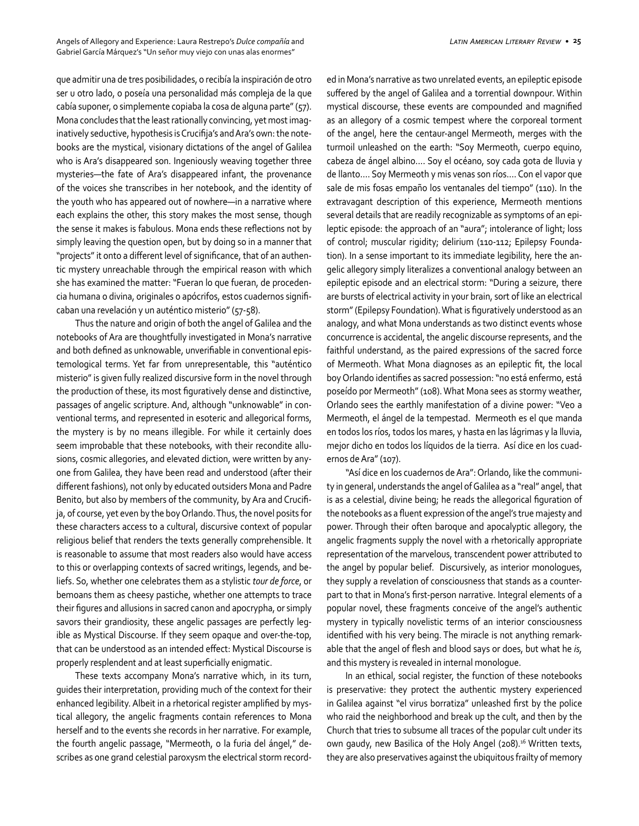que admitir una de tres posibilidades, o recibía la inspiración de otro ser u otro lado, o poseía una personalidad más compleja de la que cabía suponer, o simplemente copiaba la cosa de alguna parte" (57). Mona concludes that the least rationally convincing, yet most imaginatively seductive, hypothesis is Crucifija's and Ara's own: the notebooks are the mystical, visionary dictations of the angel of Galilea who is Ara's disappeared son. Ingeniously weaving together three mysteries—the fate of Ara's disappeared infant, the provenance of the voices she transcribes in her notebook, and the identity of the youth who has appeared out of nowhere—in a narrative where each explains the other, this story makes the most sense, though the sense it makes is fabulous. Mona ends these reflections not by simply leaving the question open, but by doing so in a manner that "projects" it onto a different level of significance, that of an authentic mystery unreachable through the empirical reason with which she has examined the matter: "Fueran lo que fueran, de procedencia humana o divina, originales o apócrifos, estos cuadernos significaban una revelación y un auténtico misterio" (57-58).

Thus the nature and origin of both the angel of Galilea and the notebooks of Ara are thoughtfully investigated in Mona's narrative and both defined as unknowable, unverifiable in conventional epistemological terms. Yet far from unrepresentable, this "auténtico misterio" is given fully realized discursive form in the novel through the production of these, its most figuratively dense and distinctive, passages of angelic scripture. And, although "unknowable" in conventional terms, and represented in esoteric and allegorical forms, the mystery is by no means illegible. For while it certainly does seem improbable that these notebooks, with their recondite allusions, cosmic allegories, and elevated diction, were written by anyone from Galilea, they have been read and understood (after their different fashions), not only by educated outsiders Mona and Padre Benito, but also by members of the community, by Ara and Crucifija, of course, yet even by the boy Orlando. Thus, the novel posits for these characters access to a cultural, discursive context of popular religious belief that renders the texts generally comprehensible. It is reasonable to assume that most readers also would have access to this or overlapping contexts of sacred writings, legends, and beliefs. So, whether one celebrates them as a stylistic *tour de force*, or bemoans them as cheesy pastiche, whether one attempts to trace their figures and allusions in sacred canon and apocrypha, or simply savors their grandiosity, these angelic passages are perfectly legible as Mystical Discourse. If they seem opaque and over-the-top, that can be understood as an intended effect: Mystical Discourse is properly resplendent and at least superficially enigmatic.

These texts accompany Mona's narrative which, in its turn, guides their interpretation, providing much of the context for their enhanced legibility. Albeit in a rhetorical register amplified by mystical allegory, the angelic fragments contain references to Mona herself and to the events she records in her narrative. For example, the fourth angelic passage, "Mermeoth, o la furia del ángel," describes as one grand celestial paroxysm the electrical storm recorded in Mona's narrative as two unrelated events, an epileptic episode suffered by the angel of Galilea and a torrential downpour. Within mystical discourse, these events are compounded and magnified as an allegory of a cosmic tempest where the corporeal torment of the angel, here the centaur-angel Mermeoth, merges with the turmoil unleashed on the earth: "Soy Mermeoth, cuerpo equino, cabeza de ángel albino…. Soy el océano, soy cada gota de lluvia y de llanto…. Soy Mermeoth y mis venas son ríos…. Con el vapor que sale de mis fosas empaño los ventanales del tiempo" (110). In the extravagant description of this experience, Mermeoth mentions several details that are readily recognizable as symptoms of an epileptic episode: the approach of an "aura"; intolerance of light; loss of control; muscular rigidity; delirium (110-112; Epilepsy Foundation). In a sense important to its immediate legibility, here the angelic allegory simply literalizes a conventional analogy between an epileptic episode and an electrical storm: "During a seizure, there are bursts of electrical activity in your brain, sort of like an electrical storm" (Epilepsy Foundation). What is figuratively understood as an analogy, and what Mona understands as two distinct events whose concurrence is accidental, the angelic discourse represents, and the faithful understand, as the paired expressions of the sacred force of Mermeoth. What Mona diagnoses as an epileptic fit, the local boy Orlando identifies as sacred possession: "no está enfermo, está poseído por Mermeoth" (108). What Mona sees as stormy weather, Orlando sees the earthly manifestation of a divine power: "Veo a Mermeoth, el ángel de la tempestad. Mermeoth es el que manda en todos los ríos, todos los mares, y hasta en las lágrimas y la lluvia, mejor dicho en todos los líquidos de la tierra. Así dice en los cuadernos de Ara" (107).

"Así dice en los cuadernos de Ara": Orlando, like the community in general, understands the angel of Galilea as a "real" angel, that is as a celestial, divine being; he reads the allegorical figuration of the notebooks as a fluent expression of the angel's true majesty and power. Through their often baroque and apocalyptic allegory, the angelic fragments supply the novel with a rhetorically appropriate representation of the marvelous, transcendent power attributed to the angel by popular belief. Discursively, as interior monologues, they supply a revelation of consciousness that stands as a counterpart to that in Mona's first-person narrative. Integral elements of a popular novel, these fragments conceive of the angel's authentic mystery in typically novelistic terms of an interior consciousness identified with his very being. The miracle is not anything remarkable that the angel of flesh and blood says or does, but what he *is,* and this mystery is revealed in internal monologue.

In an ethical, social register, the function of these notebooks is preservative: they protect the authentic mystery experienced in Galilea against "el virus borratiza" unleashed first by the police who raid the neighborhood and break up the cult, and then by the Church that tries to subsume all traces of the popular cult under its own gaudy, new Basilica of the Holy Angel (208).<sup>16</sup> Written texts, they are also preservatives against the ubiquitous frailty of memory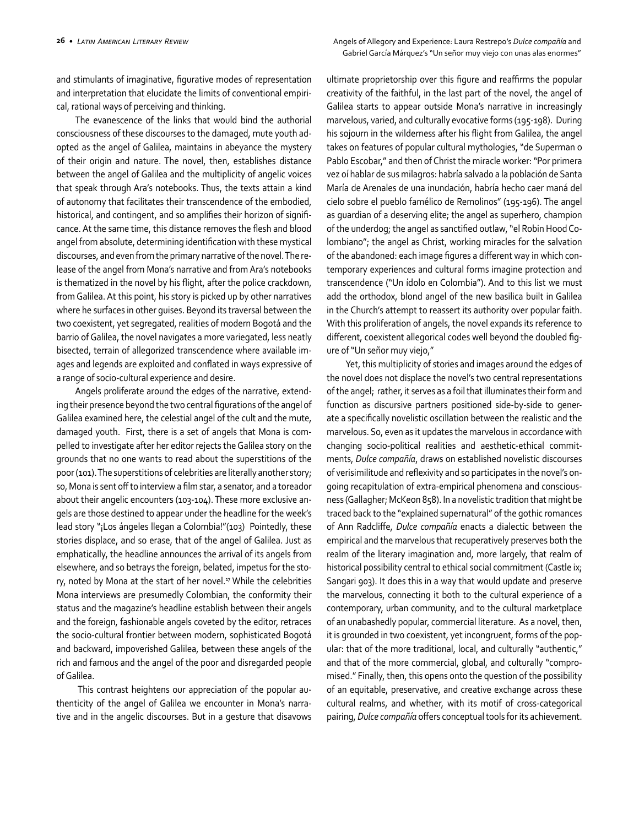cal, rational ways of perceiving and thinking.

and stimulants of imaginative, figurative modes of representation and interpretation that elucidate the limits of conventional empiri-

The evanescence of the links that would bind the authorial consciousness of these discourses to the damaged, mute youth adopted as the angel of Galilea, maintains in abeyance the mystery of their origin and nature. The novel, then, establishes distance between the angel of Galilea and the multiplicity of angelic voices that speak through Ara's notebooks. Thus, the texts attain a kind of autonomy that facilitates their transcendence of the embodied, historical, and contingent, and so amplifies their horizon of significance. At the same time, this distance removes the flesh and blood angel from absolute, determining identification with these mystical discourses, and even from the primary narrative of the novel. The release of the angel from Mona's narrative and from Ara's notebooks is thematized in the novel by his flight, after the police crackdown, from Galilea. At this point, his story is picked up by other narratives where he surfaces in other guises. Beyond its traversal between the two coexistent, yet segregated, realities of modern Bogotá and the barrio of Galilea, the novel navigates a more variegated, less neatly bisected, terrain of allegorized transcendence where available images and legends are exploited and conflated in ways expressive of a range of socio-cultural experience and desire.

Angels proliferate around the edges of the narrative, extending their presence beyond the two central figurations of the angel of Galilea examined here, the celestial angel of the cult and the mute, damaged youth. First, there is a set of angels that Mona is compelled to investigate after her editor rejects the Galilea story on the grounds that no one wants to read about the superstitions of the poor (101). The superstitions of celebrities are literally another story; so, Mona is sent off to interview a film star, a senator, and a toreador about their angelic encounters (103-104). These more exclusive angels are those destined to appear under the headline for the week's lead story "¡Los ángeles llegan a Colombia!"(103) Pointedly, these stories displace, and so erase, that of the angel of Galilea. Just as emphatically, the headline announces the arrival of its angels from elsewhere, and so betrays the foreign, belated, impetus for the story, noted by Mona at the start of her novel.<sup>17</sup> While the celebrities Mona interviews are presumedly Colombian, the conformity their status and the magazine's headline establish between their angels and the foreign, fashionable angels coveted by the editor, retraces the socio-cultural frontier between modern, sophisticated Bogotá and backward, impoverished Galilea, between these angels of the rich and famous and the angel of the poor and disregarded people of Galilea.

 This contrast heightens our appreciation of the popular authenticity of the angel of Galilea we encounter in Mona's narrative and in the angelic discourses. But in a gesture that disavows

Gabriel García Márquez's "Un señor muy viejo con unas alas enormes" ultimate proprietorship over this figure and reaffirms the popular

creativity of the faithful, in the last part of the novel, the angel of Galilea starts to appear outside Mona's narrative in increasingly marvelous, varied, and culturally evocative forms (195-198). During his sojourn in the wilderness after his flight from Galilea, the angel takes on features of popular cultural mythologies, "de Superman o Pablo Escobar," and then of Christ the miracle worker: "Por primera vez oí hablar de sus milagros: habría salvado a la población de Santa María de Arenales de una inundación, habría hecho caer maná del cielo sobre el pueblo famélico de Remolinos" (195-196). The angel as guardian of a deserving elite; the angel as superhero, champion of the underdog; the angel as sanctified outlaw, "el Robin Hood Colombiano"; the angel as Christ, working miracles for the salvation of the abandoned: each image figures a different way in which contemporary experiences and cultural forms imagine protection and transcendence ("Un ídolo en Colombia"). And to this list we must add the orthodox, blond angel of the new basilica built in Galilea in the Church's attempt to reassert its authority over popular faith. With this proliferation of angels, the novel expands its reference to different, coexistent allegorical codes well beyond the doubled figure of "Un señor muy viejo,"

Yet, this multiplicity of stories and images around the edges of the novel does not displace the novel's two central representations of the angel; rather, it serves as a foil that illuminates their form and function as discursive partners positioned side-by-side to generate a specifically novelistic oscillation between the realistic and the marvelous. So, even as it updates the marvelous in accordance with changing socio-political realities and aesthetic-ethical commitments, *Dulce compañía*, draws on established novelistic discourses of verisimilitude and reflexivity and so participates in the novel's ongoing recapitulation of extra-empirical phenomena and consciousness (Gallagher; McKeon 858). In a novelistic tradition that might be traced back to the "explained supernatural" of the gothic romances of Ann Radcliffe, *Dulce compañía* enacts a dialectic between the empirical and the marvelous that recuperatively preserves both the realm of the literary imagination and, more largely, that realm of historical possibility central to ethical social commitment (Castle ix; Sangari 903). It does this in a way that would update and preserve the marvelous, connecting it both to the cultural experience of a contemporary, urban community, and to the cultural marketplace of an unabashedly popular, commercial literature. As a novel, then, it is grounded in two coexistent, yet incongruent, forms of the popular: that of the more traditional, local, and culturally "authentic," and that of the more commercial, global, and culturally "compromised." Finally, then, this opens onto the question of the possibility of an equitable, preservative, and creative exchange across these cultural realms, and whether, with its motif of cross-categorical pairing, *Dulce compañía* offers conceptual tools for its achievement.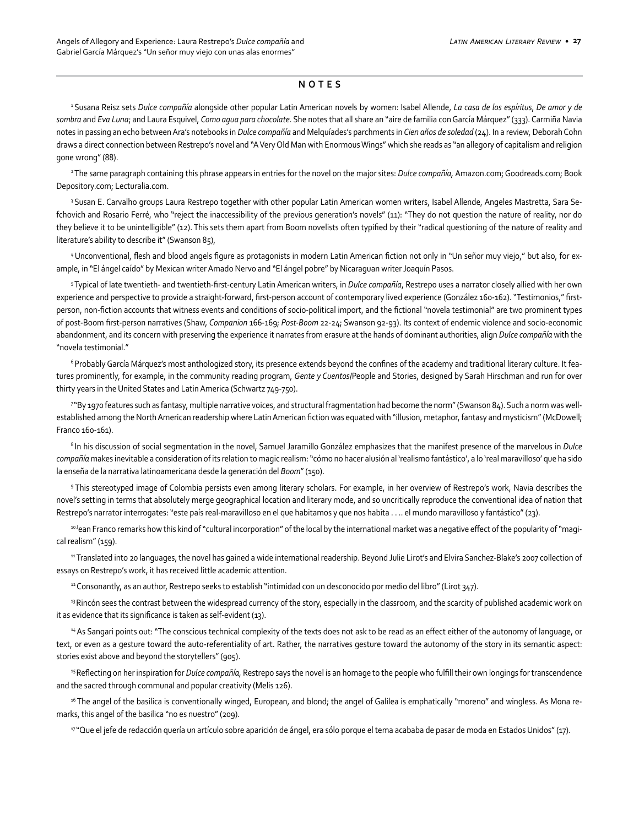#### **NOTES**

1 Susana Reisz sets *Dulce compañía* alongside other popular Latin American novels by women: Isabel Allende, *La casa de los espíritus*, *De amor y de sombra* and *Eva Luna*; and Laura Esquivel, *Como agua para chocolate*. She notes that all share an "aire de familia con García Márquez" (333). Carmiña Navia notes in passing an echo between Ara's notebooks in *Dulce compañía* and Melquíades's parchments in *Cien años de soledad* (24). In a review, Deborah Cohn draws a direct connection between Restrepo's novel and "A Very Old Man with Enormous Wings" which she reads as "an allegory of capitalism and religion gone wrong" (88).

2 The same paragraph containing this phrase appears in entries for the novel on the major sites: *Dulce compañía,* Amazon.com; Goodreads.com; Book Depository.com; Lecturalia.com.

<sup>3</sup> Susan E. Carvalho groups Laura Restrepo together with other popular Latin American women writers, Isabel Allende, Angeles Mastretta, Sara Sefchovich and Rosario Ferré, who "reject the inaccessibility of the previous generation's novels" (11): "They do not question the nature of reality, nor do they believe it to be unintelligible" (12). This sets them apart from Boom novelists often typified by their "radical questioning of the nature of reality and literature's ability to describe it" (Swanson 85),

4 Unconventional, flesh and blood angels figure as protagonists in modern Latin American fiction not only in "Un señor muy viejo," but also, for example, in "El ángel caído" by Mexican writer Amado Nervo and "El ángel pobre" by Nicaraguan writer Joaquín Pasos.

<sup>5</sup>Typical of late twentieth- and twentieth-first-century Latin American writers, in *Dulce compañía*, Restrepo uses a narrator closely allied with her own experience and perspective to provide a straight-forward, first-person account of contemporary lived experience (González 160-162). "Testimonios," firstperson, non-fiction accounts that witness events and conditions of socio-political import, and the fictional "novela testimonial" are two prominent types of post-Boom first-person narratives (Shaw, *Companion* 166-169; *Post-Boom* 22-24; Swanson 92-93). Its context of endemic violence and socio-economic abandonment, and its concern with preserving the experience it narrates from erasure at the hands of dominant authorities, align *Dulce compañía* with the "novela testimonial."

<sup>6</sup> Probably García Márquez's most anthologized story, its presence extends beyond the confines of the academy and traditional literary culture. It features prominently, for example, in the community reading program, *Gente y Cuentos*/People and Stories, designed by Sarah Hirschman and run for over thirty years in the United States and Latin America (Schwartz 749-750).

7 "By 1970 features such as fantasy, multiple narrative voices, and structural fragmentation had become the norm" (Swanson 84). Such a norm was wellestablished among the North American readership where Latin American fiction was equated with "illusion, metaphor, fantasy and mysticism" (McDowell; Franco 160-161).

8 In his discussion of social segmentation in the novel, Samuel Jaramillo González emphasizes that the manifest presence of the marvelous in *Dulce compañía* makes inevitable a consideration of its relation to magic realism: "cómo no hacer alusión al 'realismo fantástico', a lo 'real maravilloso' que ha sido la enseña de la narrativa latinoamericana desde la generación del *Boom*" (150).

9 This stereotyped image of Colombia persists even among literary scholars. For example, in her overview of Restrepo's work, Navia describes the novel's setting in terms that absolutely merge geographical location and literary mode, and so uncritically reproduce the conventional idea of nation that Restrepo's narrator interrogates: "este país real-maravilloso en el que habitamos y que nos habita . . .. el mundo maravilloso y fantástico" (23).

10 Jean Franco remarks how this kind of "cultural incorporation" of the local by the international market was a negative effect of the popularity of "magical realism" (159).

11 Translated into 20 languages, the novel has gained a wide international readership. Beyond Julie Lirot's and Elvira Sanchez-Blake's 2007 collection of essays on Restrepo's work, it has received little academic attention.

<sup>12</sup> Consonantly, as an author, Restrepo seeks to establish "intimidad con un desconocido por medio del libro" (Lirot 347).

<sup>13</sup> Rincón sees the contrast between the widespread currency of the story, especially in the classroom, and the scarcity of published academic work on it as evidence that its significance is taken as self-evident (13).

<sup>14</sup> As Sangari points out: "The conscious technical complexity of the texts does not ask to be read as an effect either of the autonomy of language, or text, or even as a gesture toward the auto-referentiality of art. Rather, the narratives gesture toward the autonomy of the story in its semantic aspect: stories exist above and beyond the storytellers" (905).

<sup>15</sup>Reflecting on her inspiration for *Dulce compañía*, Restrepo says the novel is an homage to the people who fulfill their own longings for transcendence and the sacred through communal and popular creativity (Melis 126).

<sup>16</sup> The angel of the basilica is conventionally winged, European, and blond; the angel of Galilea is emphatically "moreno" and wingless. As Mona remarks, this angel of the basilica "no es nuestro" (209).

17 "Que el jefe de redacción quería un artículo sobre aparición de ángel, era sólo porque el tema acababa de pasar de moda en Estados Unidos" (17).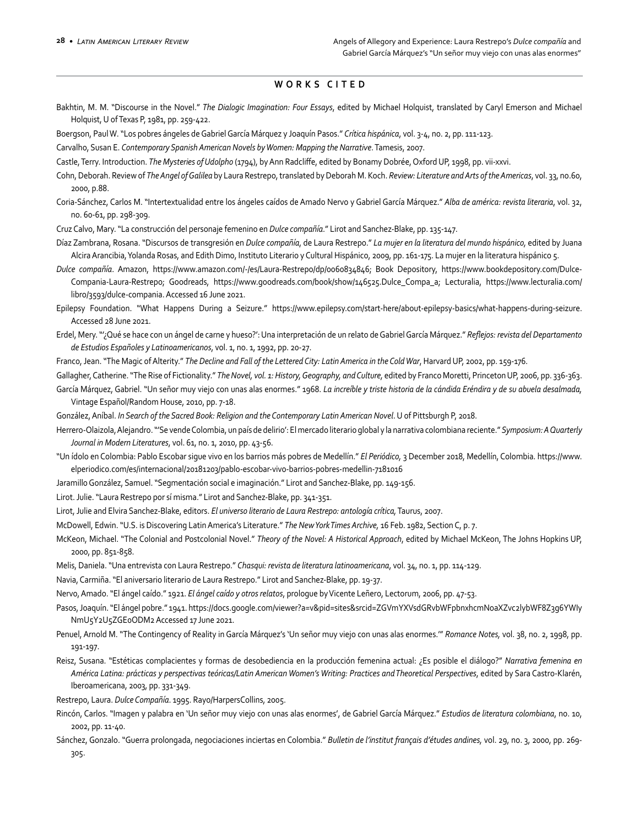## **WORKS CITED**

- Bakhtin, M. M. "Discourse in the Novel." *The Dialogic Imagination: Four Essays*, edited by Michael Holquist, translated by Caryl Emerson and Michael Holquist, U of Texas P, 1981, pp. 259-422.
- Boergson, Paul W. "Los pobres ángeles de Gabriel García Márquez y Joaquín Pasos." *Crítica hispánica*, vol. 3-4, no. 2, pp. 111-123.
- Carvalho, Susan E. *Contemporary Spanish American Novels by Women: Mapping the Narrative*. Tamesis, 2007.

Castle, Terry. Introduction. *The Mysteries of Udolpho* (1794), by Ann Radcliffe, edited by Bonamy Dobrée, Oxford UP, 1998, pp. vii-xxvi.

- Cohn, Deborah. Review of *The Angel of Galilea* by Laura Restrepo, translated by Deborah M. Koch. *Review: Literature and Arts of the Americas*, vol. 33, no.60, 2000, p.88.
- Coria-Sánchez, Carlos M. "Intertextualidad entre los ángeles caídos de Amado Nervo y Gabriel García Márquez." *Alba de américa: revista literaria*, vol. 32, no. 60-61, pp. 298-309.

Cruz Calvo, Mary. "La construcción del personaje femenino en *Dulce compañía*." Lirot and Sanchez-Blake, pp. 135-147.

- Díaz Zambrana, Rosana. "Discursos de transgresión en *Dulce compañía*, de Laura Restrepo." *La mujer en la literatura del mundo hispánico,* edited by Juana Alcira Arancibia, Yolanda Rosas, and Edith Dimo, Instituto Literario y Cultural Hispánico, 2009, pp. 161-175. La mujer en la literatura hispánico 5.
- *Dulce compañía*. Amazon, https://www.amazon.com/-/es/Laura-Restrepo/dp/0060834846; Book Depository, https://www.bookdepository.com/Dulce-Compania-Laura-Restrepo; Goodreads, https://www.goodreads.com/book/show/146525.Dulce\_Compa\_a; Lecturalia, https://www.lecturalia.com/ libro/3593/dulce-compania. Accessed 16 June 2021.
- Epilepsy Foundation. "What Happens During a Seizure." https://www.epilepsy.com/start-here/about-epilepsy-basics/what-happens-during-seizure. Accessed 28 June 2021.
- Erdel, Mery. "'¿Qué se hace con un ángel de carne y hueso?': Una interpretación de un relato de Gabriel García Márquez." *Reflejos: revista del Departamento de Estudios Españoles y Latinoamericanos*, vol. 1, no. 1, 1992, pp. 20-27.
- Franco, Jean. "The Magic of Alterity." *The Decline and Fall of the Lettered City: Latin America in the Cold War*, Harvard UP, 2002, pp. 159-176.
- Gallagher, Catherine. "The Rise of Fictionality." *The Novel, vol. 1: History, Geography, and Culture,* edited by Franco Moretti, Princeton UP, 2006, pp. 336-363.
- García Márquez, Gabriel. "Un señor muy viejo con unas alas enormes." 1968. *La increíble y triste historia de la cándida Eréndira y de su abuela desalmada,* Vintage Español/Random House, 2010, pp. 7-18.
- González, Aníbal. *In Search of the Sacred Book: Religion and the Contemporary Latin American Novel*. U of Pittsburgh P, 2018.
- Herrero-Olaizola, Alejandro. "'Se vende Colombia, un país de delirio': El mercado literario global y la narrativa colombiana reciente." *Symposium: A Quarterly Journal in Modern Literatures*, vol. 61, no. 1, 2010, pp. 43-56.
- "Un ídolo en Colombia: Pablo Escobar sigue vivo en los barrios más pobres de Medellín." *El Periódico,* 3 December 2018, Medellín, Colombia. https://www. elperiodico.com/es/internacional/20181203/pablo-escobar-vivo-barrios-pobres-medellin-7181016
- Jaramillo González, Samuel. "Segmentación social e imaginación." Lirot and Sanchez-Blake, pp. 149-156.
- Lirot. Julie. "Laura Restrepo por sí misma." Lirot and Sanchez-Blake, pp. 341-351.
- Lirot, Julie and Elvira Sanchez-Blake, editors. *El universo literario de Laura Restrepo: antología crítica,* Taurus, 2007.
- McDowell, Edwin. "U.S. is Discovering Latin America's Literature." *The New York Times Archive,* 16 Feb. 1982, Section C, p. 7.
- McKeon, Michael. "The Colonial and Postcolonial Novel." *Theory of the Novel: A Historical Approach*, edited by Michael McKeon, The Johns Hopkins UP, 2000, pp. 851-858.
- Melis, Daniela. "Una entrevista con Laura Restrepo." *Chasqui: revista de literatura latinoamericana*, vol. 34, no. 1, pp. 114-129.
- Navia, Carmiña. "El aniversario literario de Laura Restrepo." Lirot and Sanchez-Blake, pp. 19-37.
- Nervo, Amado. "El ángel caído." 1921. *El ángel caído y otros relatos*, prologue by Vicente Leñero, Lectorum, 2006, pp. 47-53.
- Pasos, Joaquín. "El ángel pobre." 1941. https://docs.google.com/viewer?a=v&pid=sites&srcid=ZGVmYXVsdGRvbWFpbnxhcmNoaXZvc2lybWF8Z3g6YWIy NmU5Y2U5ZGE0ODM2 Accessed 17 June 2021.
- Penuel, Arnold M. "The Contingency of Reality in García Márquez's 'Un señor muy viejo con unas alas enormes.'" *Romance Notes,* vol. 38, no. 2, 1998, pp. 191-197.
- Reisz, Susana. "Estéticas complacientes y formas de desobediencia en la producción femenina actual: ¿Es posible el diálogo?" *Narrativa femenina en América Latina: prácticas y perspectivas teóricas/Latin American Women's Writing: Practices and Theoretical Perspectives*, edited by Sara Castro-Klarén, Iberoamericana, 2003, pp. 331-349.
- Restrepo, Laura. *Dulce Compañía*. 1995. Rayo/HarpersCollins, 2005.
- Rincón, Carlos. "Imagen y palabra en 'Un señor muy viejo con unas alas enormes', de Gabriel García Márquez." *Estudios de literatura colombiana*, no. 10, 2002, pp. 11-40.
- Sánchez, Gonzalo. "Guerra prolongada, negociaciones inciertas en Colombia." *Bulletin de l'institut français d'études andines,* vol. 29, no. 3, 2000, pp. 269- 305.